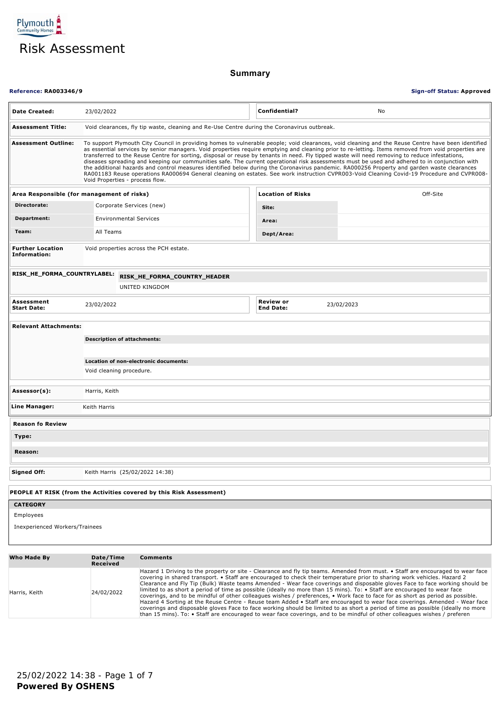

**Summary**

| <b>Reference: RA003346/9</b>               |                                    |                                                                      |                                                                                             | <b>Sign-off Status: Approved</b>                                                                                                                                                                                                                                                                                                                                                                                                                                                                                                                                                                                                                                                                                                                                                                                                                                                                                                                                                                                                                       |
|--------------------------------------------|------------------------------------|----------------------------------------------------------------------|---------------------------------------------------------------------------------------------|--------------------------------------------------------------------------------------------------------------------------------------------------------------------------------------------------------------------------------------------------------------------------------------------------------------------------------------------------------------------------------------------------------------------------------------------------------------------------------------------------------------------------------------------------------------------------------------------------------------------------------------------------------------------------------------------------------------------------------------------------------------------------------------------------------------------------------------------------------------------------------------------------------------------------------------------------------------------------------------------------------------------------------------------------------|
| <b>Date Created:</b>                       | 23/02/2022                         |                                                                      | Confidential?                                                                               | No                                                                                                                                                                                                                                                                                                                                                                                                                                                                                                                                                                                                                                                                                                                                                                                                                                                                                                                                                                                                                                                     |
| <b>Assessment Title:</b>                   |                                    |                                                                      | Void clearances, fly tip waste, cleaning and Re-Use Centre during the Coronavirus outbreak. |                                                                                                                                                                                                                                                                                                                                                                                                                                                                                                                                                                                                                                                                                                                                                                                                                                                                                                                                                                                                                                                        |
| <b>Assessment Outline:</b>                 | Void Properties - process flow.    |                                                                      |                                                                                             | To support Plymouth City Council in providing homes to vulnerable people; void clearances, void cleaning and the Reuse Centre have been identified<br>as essential services by senior managers. Void properties require emptying and cleaning prior to re-letting. Items removed from void properties are<br>transferred to the Reuse Centre for sorting, disposal or reuse by tenants in need. Fly tipped waste will need removing to reduce infestations,<br>diseases spreading and keeping our communities safe. The current operational risk assessments must be used and adhered to in conjunction with<br>the additional hazards and control measures identified below during the Coronavirus pandemic. RA000256 Property and garden waste clearances<br>RA001183 Reuse operations RA000694 General cleaning on estates. See work instruction CVPR003-Void Cleaning Covid-19 Procedure and CVPR008-                                                                                                                                              |
| Area Responsible (for management of risks) |                                    |                                                                      | <b>Location of Risks</b>                                                                    | Off-Site                                                                                                                                                                                                                                                                                                                                                                                                                                                                                                                                                                                                                                                                                                                                                                                                                                                                                                                                                                                                                                               |
| Directorate:                               | Corporate Services (new)           |                                                                      | Site:                                                                                       |                                                                                                                                                                                                                                                                                                                                                                                                                                                                                                                                                                                                                                                                                                                                                                                                                                                                                                                                                                                                                                                        |
| Department:                                | <b>Environmental Services</b>      |                                                                      | Area:                                                                                       |                                                                                                                                                                                                                                                                                                                                                                                                                                                                                                                                                                                                                                                                                                                                                                                                                                                                                                                                                                                                                                                        |
| Team:                                      | All Teams                          |                                                                      | Dept/Area:                                                                                  |                                                                                                                                                                                                                                                                                                                                                                                                                                                                                                                                                                                                                                                                                                                                                                                                                                                                                                                                                                                                                                                        |
| <b>Further Location</b><br>Information:    |                                    | Void properties across the PCH estate.                               |                                                                                             |                                                                                                                                                                                                                                                                                                                                                                                                                                                                                                                                                                                                                                                                                                                                                                                                                                                                                                                                                                                                                                                        |
| RISK_HE_FORMA_COUNTRYLABEL:                |                                    | RISK_HE_FORMA_COUNTRY_HEADER                                         |                                                                                             |                                                                                                                                                                                                                                                                                                                                                                                                                                                                                                                                                                                                                                                                                                                                                                                                                                                                                                                                                                                                                                                        |
|                                            |                                    | UNITED KINGDOM                                                       |                                                                                             |                                                                                                                                                                                                                                                                                                                                                                                                                                                                                                                                                                                                                                                                                                                                                                                                                                                                                                                                                                                                                                                        |
| Assessment<br><b>Start Date:</b>           | 23/02/2022                         |                                                                      | <b>Review or</b><br><b>End Date:</b>                                                        | 23/02/2023                                                                                                                                                                                                                                                                                                                                                                                                                                                                                                                                                                                                                                                                                                                                                                                                                                                                                                                                                                                                                                             |
| <b>Relevant Attachments:</b>               |                                    |                                                                      |                                                                                             |                                                                                                                                                                                                                                                                                                                                                                                                                                                                                                                                                                                                                                                                                                                                                                                                                                                                                                                                                                                                                                                        |
|                                            |                                    |                                                                      |                                                                                             |                                                                                                                                                                                                                                                                                                                                                                                                                                                                                                                                                                                                                                                                                                                                                                                                                                                                                                                                                                                                                                                        |
|                                            | <b>Description of attachments:</b> |                                                                      |                                                                                             |                                                                                                                                                                                                                                                                                                                                                                                                                                                                                                                                                                                                                                                                                                                                                                                                                                                                                                                                                                                                                                                        |
|                                            |                                    | Location of non-electronic documents:                                |                                                                                             |                                                                                                                                                                                                                                                                                                                                                                                                                                                                                                                                                                                                                                                                                                                                                                                                                                                                                                                                                                                                                                                        |
|                                            | Void cleaning procedure.           |                                                                      |                                                                                             |                                                                                                                                                                                                                                                                                                                                                                                                                                                                                                                                                                                                                                                                                                                                                                                                                                                                                                                                                                                                                                                        |
|                                            |                                    |                                                                      |                                                                                             |                                                                                                                                                                                                                                                                                                                                                                                                                                                                                                                                                                                                                                                                                                                                                                                                                                                                                                                                                                                                                                                        |
| Assessor(s):                               | Harris, Keith                      |                                                                      |                                                                                             |                                                                                                                                                                                                                                                                                                                                                                                                                                                                                                                                                                                                                                                                                                                                                                                                                                                                                                                                                                                                                                                        |
| Line Manager:                              | Keith Harris                       |                                                                      |                                                                                             |                                                                                                                                                                                                                                                                                                                                                                                                                                                                                                                                                                                                                                                                                                                                                                                                                                                                                                                                                                                                                                                        |
| <b>Reason fo Review</b>                    |                                    |                                                                      |                                                                                             |                                                                                                                                                                                                                                                                                                                                                                                                                                                                                                                                                                                                                                                                                                                                                                                                                                                                                                                                                                                                                                                        |
| Type:                                      |                                    |                                                                      |                                                                                             |                                                                                                                                                                                                                                                                                                                                                                                                                                                                                                                                                                                                                                                                                                                                                                                                                                                                                                                                                                                                                                                        |
| Reason:                                    |                                    |                                                                      |                                                                                             |                                                                                                                                                                                                                                                                                                                                                                                                                                                                                                                                                                                                                                                                                                                                                                                                                                                                                                                                                                                                                                                        |
|                                            |                                    |                                                                      |                                                                                             |                                                                                                                                                                                                                                                                                                                                                                                                                                                                                                                                                                                                                                                                                                                                                                                                                                                                                                                                                                                                                                                        |
| <b>Signed Off:</b>                         | Keith Harris (25/02/2022 14:38)    |                                                                      |                                                                                             |                                                                                                                                                                                                                                                                                                                                                                                                                                                                                                                                                                                                                                                                                                                                                                                                                                                                                                                                                                                                                                                        |
|                                            |                                    | PEOPLE AT RISK (from the Activities covered by this Risk Assessment) |                                                                                             |                                                                                                                                                                                                                                                                                                                                                                                                                                                                                                                                                                                                                                                                                                                                                                                                                                                                                                                                                                                                                                                        |
| <b>CATEGORY</b>                            |                                    |                                                                      |                                                                                             |                                                                                                                                                                                                                                                                                                                                                                                                                                                                                                                                                                                                                                                                                                                                                                                                                                                                                                                                                                                                                                                        |
| Employees                                  |                                    |                                                                      |                                                                                             |                                                                                                                                                                                                                                                                                                                                                                                                                                                                                                                                                                                                                                                                                                                                                                                                                                                                                                                                                                                                                                                        |
| Inexperienced Workers/Trainees             |                                    |                                                                      |                                                                                             |                                                                                                                                                                                                                                                                                                                                                                                                                                                                                                                                                                                                                                                                                                                                                                                                                                                                                                                                                                                                                                                        |
| Who Made By                                | Date/Time                          | <b>Comments</b>                                                      |                                                                                             |                                                                                                                                                                                                                                                                                                                                                                                                                                                                                                                                                                                                                                                                                                                                                                                                                                                                                                                                                                                                                                                        |
|                                            | Received                           |                                                                      |                                                                                             |                                                                                                                                                                                                                                                                                                                                                                                                                                                                                                                                                                                                                                                                                                                                                                                                                                                                                                                                                                                                                                                        |
| Harris, Keith                              | 24/02/2022                         |                                                                      |                                                                                             | Hazard 1 Driving to the property or site - Clearance and fly tip teams. Amended from must. • Staff are encouraged to wear face<br>covering in shared transport. • Staff are encouraged to check their temperature prior to sharing work vehicles. Hazard 2<br>Clearance and Fly Tip (Bulk) Waste teams Amended - Wear face coverings and disposable gloves Face to face working should be<br>limited to as short a period of time as possible (ideally no more than 15 mins). To: • Staff are encouraged to wear face<br>coverings, and to be mindful of other colleagues wishes / preferences, • Work face to face for as short as period as possible.<br>Hazard 4 Sorting at the Reuse Centre - Reuse team Added • Staff are encouraged to wear face coverings. Amended - Wear face<br>coverings and disposable gloves Face to face working should be limited to as short a period of time as possible (ideally no more<br>than 15 mins). To: • Staff are encouraged to wear face coverings, and to be mindful of other colleagues wishes / preferen |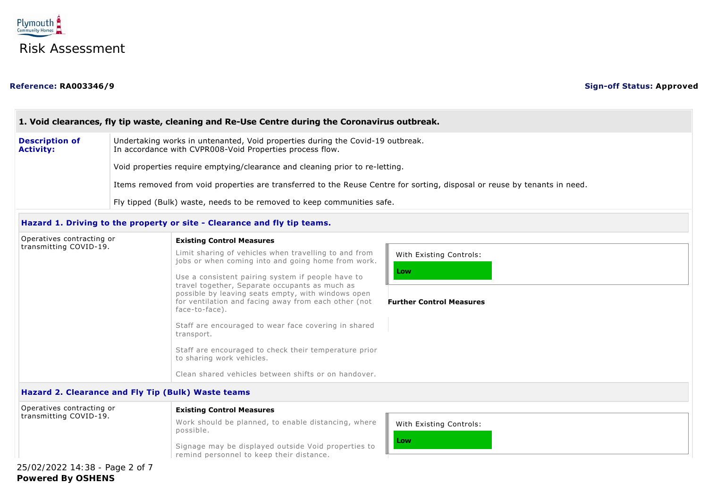

### **Reference: RA003346/9 Sign-off Status: Approved**

### Limit sharing of vehicles when travelling to and from jobs or when coming into and going home from work. Use a consistent pairing system if people have to travel together, Separate occupants as much as possible by leaving seats empty, with windows open for ventilation and facing away from each other (not face-to-face). Staff are encouraged to wear face covering in shared transport. Staff are encouraged to check their temperature prior to sharing work vehicles. Clean shared vehicles between shifts or on handover. With Existing Controls: **Low** Work should be planned, to enable distancing, where possible. Signage may be displayed outside Void properties to With Existing Controls: **Low 1. Void clearances, fly tip waste, cleaning and Re-Use Centre during the Coronavirus outbreak. Description of Activity:** Undertaking works in untenanted, Void properties during the Covid-19 outbreak. In accordance with CVPR008-Void Properties process flow. Void properties require emptying/clearance and cleaning prior to re-letting. Items removed from void properties are transferred to the Reuse Centre for sorting, disposal or reuse by tenants in need. Fly tipped (Bulk) waste, needs to be removed to keep communities safe. **Hazard 1. Driving to the property or site - Clearance and fly tip teams.** Operatives contracting or transmitting COVID-19. **Existing Control Measures Further Control Measures Hazard 2. Clearance and Fly Tip (Bulk) Waste teams** Operatives contracting or transmitting COVID-19. **Existing Control Measures**

remind personnel to keep their distance.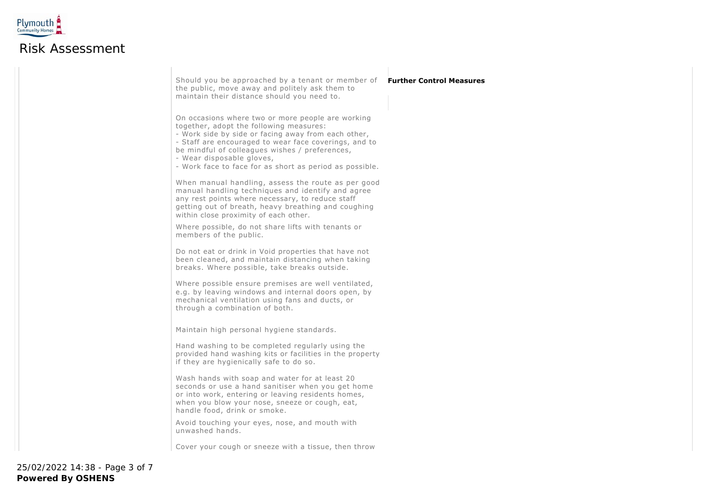

## Risk Assessment

Should you be approached by a tenant or member of the public, move away and politely ask them to maintain their distance should you need to.

#### On occasions where two or more people are working together, adopt the following measures:

- Work side by side or facing away from each other,

- Staff are encouraged to wear face coverings, and to be mindful of colleagues wishes / preferences,

- Wear disposable gloves,

- Work face to face for as short as period as possible.

When manual handling, assess the route as per good manual handling techniques and identify and agree any rest points where necessary, to reduce staff getting out of breath, heavy breathing and coughing within close proximity of each other.

Where possible, do not share lifts with tenants or members of the public.

Do not eat or drink in Void properties that have not been cleaned, and maintain distancing when taking breaks. Where possible, take breaks outside.

Where possible ensure premises are well ventilated, e.g. by leaving windows and internal doors open, by mechanical ventilation using fans and ducts, or through a combination of both.

Maintain high personal hygiene standards.

Hand washing to be completed regularly using the provided hand washing kits or facilities in the property if they are hygienically safe to do so.

Wash hands with soap and water for at least 20 seconds or use a hand sanitiser when you get home or into work, entering or leaving residents homes, when you blow your nose, sneeze or cough, eat, handle food, drink or smoke.

Avoid touching your eyes, nose, and mouth with unwashed hands.

Cover your cough or sneeze with a tissue, then throw

### **Further Control Measures**

**Powered By OSHENS** 25/02/2022 14:38 - Page 3 of 7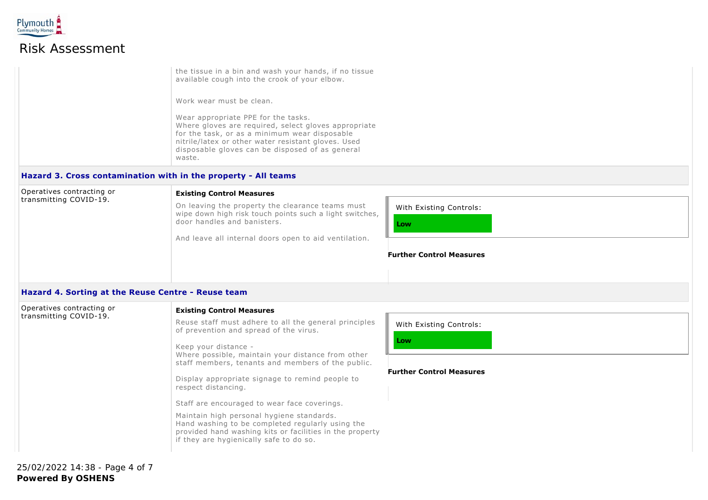

### Risk Assessment

the tissue in a bin and wash your hands, if no tissue available cough into the crook of your elbow.

Work wear must be clean.

Wear appropriate PPE for the tasks. Where gloves are required, select gloves appropriate for the task, or as a minimum wear disposable nitrile/latex or other water resistant gloves. Used disposable gloves can be disposed of as general waste.

### **Hazard 3. Cross contamination with in the property - All teams**

| Operatives contracting or<br>transmitting COVID-19. | <b>Existing Control Measures</b>                                                                            |                                 |  |  |  |
|-----------------------------------------------------|-------------------------------------------------------------------------------------------------------------|---------------------------------|--|--|--|
|                                                     | On leaving the property the clearance teams must<br>wipe down high risk touch points such a light switches, | With Existing Controls:         |  |  |  |
|                                                     | door handles and banisters.<br>And leave all internal doors open to aid ventilation.                        | Low                             |  |  |  |
|                                                     |                                                                                                             | <b>Further Control Measures</b> |  |  |  |
|                                                     |                                                                                                             |                                 |  |  |  |
|                                                     |                                                                                                             |                                 |  |  |  |

#### **Hazard 4. Sorting at the Reuse Centre - Reuse team**

| Operatives contracting or<br>transmitting COVID-19. | <b>Existing Control Measures</b>                                                                                                                                                                     |                                 |
|-----------------------------------------------------|------------------------------------------------------------------------------------------------------------------------------------------------------------------------------------------------------|---------------------------------|
|                                                     | Reuse staff must adhere to all the general principles<br>of prevention and spread of the virus.                                                                                                      | With Existing Controls:         |
|                                                     | Keep your distance -<br>Where possible, maintain your distance from other<br>staff members, tenants and members of the public.                                                                       | Low                             |
|                                                     | Display appropriate signage to remind people to<br>respect distancing.                                                                                                                               | <b>Further Control Measures</b> |
|                                                     | Staff are encouraged to wear face coverings.                                                                                                                                                         |                                 |
|                                                     | Maintain high personal hygiene standards.<br>Hand washing to be completed regularly using the<br>provided hand washing kits or facilities in the property<br>if they are hygienically safe to do so. |                                 |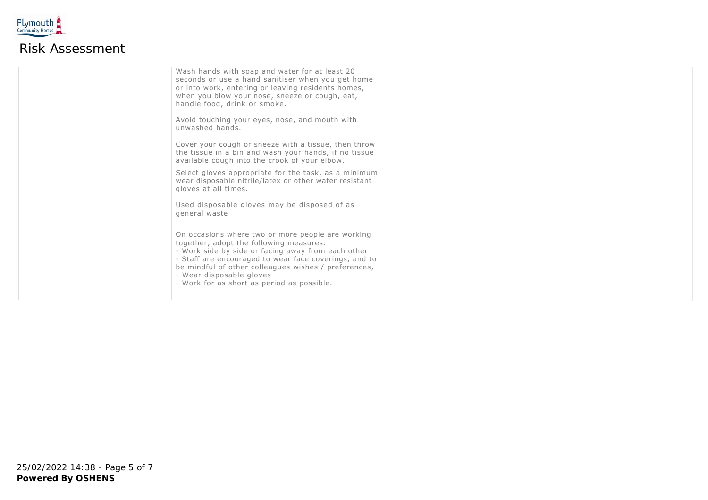

Wash hands with soap and water for at least 20 seconds or use a hand sanitiser when you get home or into work, entering or leaving residents homes, when you blow your nose, sneeze or cough, eat, handle food, drink or smoke.

Avoid touching your eyes, nose, and mouth with unwashed hands.

Cover your cough or sneeze with a tissue, then throw the tissue in a bin and wash your hands, if no tissue available cough into the crook of your elbow.

Select gloves appropriate for the task, as a minimum wear disposable nitrile/latex or other water resistant gloves at all times.

Used disposable gloves may be disposed of as general waste

On occasions where two or more people are working together, adopt the following measures:

- Work side by side or facing away from each other
- Staff are encouraged to wear face coverings, and to be mindful of other colleagues wishes / preferences,
- Wear disposable gloves
- Work for as short as period as possible.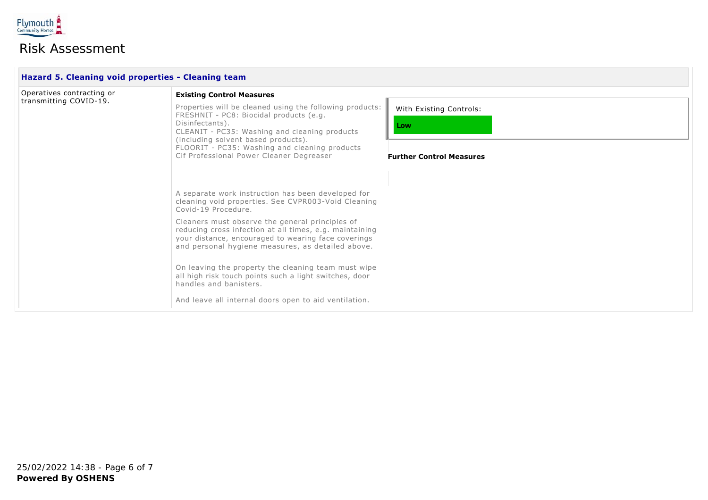

# Risk Assessment

| Operatives contracting or | <b>Existing Control Measures</b>                                                                                                                                                                                                                                                                                                                                                                                                                                                                                                                               |                                                                   |  |  |  |
|---------------------------|----------------------------------------------------------------------------------------------------------------------------------------------------------------------------------------------------------------------------------------------------------------------------------------------------------------------------------------------------------------------------------------------------------------------------------------------------------------------------------------------------------------------------------------------------------------|-------------------------------------------------------------------|--|--|--|
| transmitting COVID-19.    | Properties will be cleaned using the following products:<br>FRESHNIT - PC8: Biocidal products (e.g.<br>Disinfectants).<br>CLEANIT - PC35: Washing and cleaning products<br>(including solvent based products).<br>FLOORIT - PC35: Washing and cleaning products<br>Cif Professional Power Cleaner Degreaser                                                                                                                                                                                                                                                    | With Existing Controls:<br>Low<br><b>Further Control Measures</b> |  |  |  |
|                           | A separate work instruction has been developed for<br>cleaning void properties. See CVPR003-Void Cleaning<br>Covid-19 Procedure.<br>Cleaners must observe the general principles of<br>reducing cross infection at all times, e.g. maintaining<br>your distance, encouraged to wearing face coverings<br>and personal hygiene measures, as detailed above.<br>On leaving the property the cleaning team must wipe<br>all high risk touch points such a light switches, door<br>handles and banisters.<br>And leave all internal doors open to aid ventilation. |                                                                   |  |  |  |